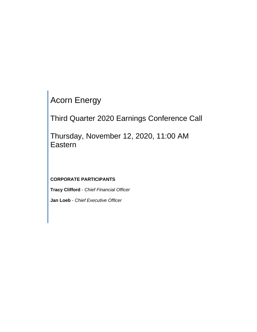Acorn Energy

Third Quarter 2020 Earnings Conference Call

Thursday, November 12, 2020, 11:00 AM Eastern

**CORPORATE PARTICIPANTS**

**Tracy Clifford** - *Chief Financial Officer*

**Jan Loeb** - *Chief Executive Officer*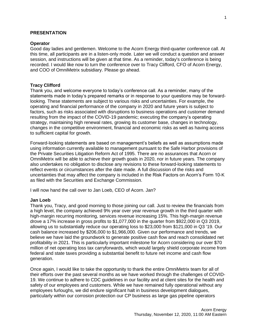#### **PRESENTATION**

#### **Operator**

Good day ladies and gentlemen. Welcome to the Acorn Energy third-quarter conference call. At this time, all participants are in a listen-only mode. Later we will conduct a question and answer session, and instructions will be given at that time. As a reminder, today's conference is being recorded. I would like now to turn the conference over to Tracy Clifford, CFO of Acorn Energy, and COO of OmniMetrix subsidiary. Please go ahead.

#### **Tracy Clifford**

Thank you, and welcome everyone to today's conference call. As a reminder, many of the statements made in today's prepared remarks or in response to your questions may be forwardlooking. These statements are subject to various risks and uncertainties. For example, the operating and financial performance of the company in 2020 and future years is subject to factors, such as risks associated with disruptions to business operations and customer demand resulting from the impact of the COVID-19 pandemic; executing the company's operating strategy, maintaining high renewal rates, growing its customer base, changes in technology, changes in the competitive environment, financial and economic risks as well as having access to sufficient capital for growth.

Forward-looking statements are based on management's beliefs as well as assumptions made using information currently available to management pursuant to the Safe Harbor provisions of the Private Securities Litigation Reform Act of 1995. There are no assurances that Acorn or OmniMetrix will be able to achieve their growth goals in 2020, nor in future years. The company also undertakes no obligation to disclose any revisions to these forward-looking statements to reflect events or circumstances after the date made. A full discussion of the risks and uncertainties that may affect the company is included in the Risk Factors on Acorn's Form 10-K as filed with the Securities and Exchange Commission.

I will now hand the call over to Jan Loeb, CEO of Acorn. Jan?

#### **Jan Loeb**

Thank you, Tracy, and good morning to those joining our call. Just to review the financials from a high level, the company achieved 9% year over year revenue growth in the third quarter with high-margin recurring monitoring, services revenue increasing 15%. This high-margin revenue drove a 17% increase in gross profits to \$1,077,000 in the quarter from \$922,000 in Q3 2019, allowing us to substantially reduce our operating loss to \$23,000 from \$121,000 in Q3 '19. Our cash balance increased by \$206,000 to \$1,966,000. Given our performance and trends, we believe we have laid the groundwork to generate positive cash flow and reach consolidated net profitability in 2021. This is particularly important milestone for Acorn considering our over \$70 million of net operating loss tax carryforwards, which would largely shield corporate income from federal and state taxes providing a substantial benefit to future net income and cash flow generation.

Once again, I would like to take the opportunity to thank the entire OmniMetrix team for all of their efforts over the past several months as we have worked through the challenges of COVID-19. We continue to adhere to CDC guidelines in our facility and at client sites for the health and safety of our employees and customers. While we have remained fully operational without any employees furloughs, we did endure significant halt in business development dialogues, particularly within our corrosion protection our CP business as large gas pipeline operators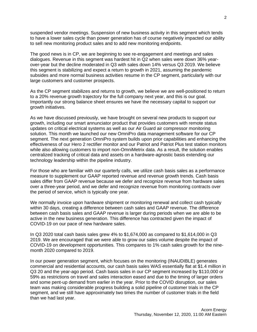suspended vendor meetings. Suspension of new business activity in this segment which tends to have a lower sales cycle than power generation has of course negatively impacted our ability to sell new monitoring product sales and to add new monitoring endpoints.

The good news is in CP, we are beginning to see re-engagement and meetings and sales dialogues. Revenue in this segment was hardest hit in Q2 when sales were down 36% yearover-year but the decline moderated in Q3 with sales down 14% versus Q3 2019. We believe this segment is stabilizing and expect a return to growth in 2021, assuming the pandemic subsides and more normal business activities resume in the CP segment, particularly with our large customers and customer prospects.

As the CP segment stabilizes and returns to growth, we believe we are well-positioned to return to a 20% revenue growth trajectory for the full company next year, and this is our goal. Importantly our strong balance sheet ensures we have the necessary capital to support our growth initiatives.

As we have discussed previously, we have brought on several new products to support our growth, including our smart annunciator product that provides customers with remote status updates on critical electrical systems as well as our Air Guard air compressor monitoring solution. This month we launched our new OmniPro data management software for our CP segment. The next generation OmniPro system builds upon prior capabilities and enhancing the effectiveness of our Hero 2 rectifier monitor and our Patriot and Patriot Plus test station monitors while also allowing customers to import non-OmniMetrix data. As a result, the solution enables centralized tracking of critical data and assets on a hardware-agnostic basis extending our technology leadership within the pipeline industry.

For those who are familiar with our quarterly calls, we utilize cash basis sales as a performance measure to supplement our GAAP reported revenue and revenue growth trends. Cash basis sales differ from GAAP revenue because we defer and recognize revenue from hardware sales over a three-year period, and we defer and recognize revenue from monitoring contracts over the period of service, which is typically one year.

We normally invoice upon hardware shipment or monitoring renewal and collect cash typically within 30 days, creating a difference between cash sales and GAAP revenue. The difference between cash basis sales and GAAP revenue is larger during periods when we are able to be active in the new business generation. This difference has contracted given the impact of COVID-19 on our pace of new hardware sales.

In Q3 2020 total cash basis sales grew 4% to \$1,674,000 as compared to \$1,614,000 in Q3 2019. We are encouraged that we were able to grow our sales volume despite the impact of COVID-19 on development opportunities. This compares to 1% cash sales growth for the ninemonth 2020 compared to 2019.

In our power generation segment, which focuses on the monitoring (INAUDIBLE) generates commercial and residential accounts, our cash basis sales WAS essentially flat at \$1.4 million in Q3 20 and the year-ago period. Cash basis sales in our CP segment increased by \$110,000 or 59% as restrictions on travel and sales interaction eased and due to the timing of larger orders and some pent-up demand from earlier in the year. Prior to the COVID disruption, our sales team was making considerable progress building a solid pipeline of customer trials in the CP segment, and we still have approximately two times the number of customer trials in the field than we had last year.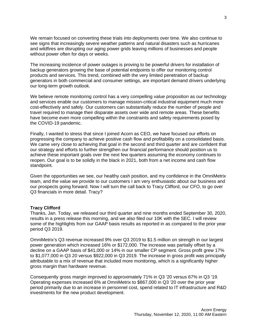We remain focused on converting these trials into deployments over time. We also continue to see signs that increasingly severe weather patterns and natural disasters such as hurricanes and wildfires are disrupting our aging power grids leaving millions of businesses and people without power often for days or weeks.

The increasing incidence of power outages is proving to be powerful drivers for installation of backup generators growing the base of potential endpoints to offer our monitoring control products and services. This trend, combined with the very limited penetration of backup generators in both commercial and consumer settings, are important demand drivers underlying our long-term growth outlook.

We believe remote monitoring control has a very compelling value proposition as our technology and services enable our customers to manage mission-critical industrial equipment much more cost-effectively and safely. Our customers can substantially reduce the number of people and travel required to manage their disparate assets over wide and remote areas. These benefits have become even more compelling within the constraints and safety requirements posed by the COVID-19 pandemic.

Finally, I wanted to stress that since I joined Acorn as CEO, we have focused our efforts on progressing the company to achieve positive cash flow and profitability on a consolidated basis. We came very close to achieving that goal in the second and third quarter and are confident that our strategy and efforts to further strengthen our financial performance should position us to achieve these important goals over the next few quarters assuming the economy continues to reopen. Our goal is to be solidly in the black in 2021, both from a net income and cash flow standpoint.

Given the opportunities we see, our healthy cash position, and my confidence in the OmniMetrix team, and the value we provide to our customers I am very enthusiastic about our business and our prospects going forward. Now I will turn the call back to Tracy Clifford, our CFO, to go over Q3 financials in more detail. Tracy?

### **Tracy Clifford**

Thanks, Jan. Today, we released our third quarter and nine months ended September 30, 2020, results in a press release this morning, and we also filed our 10K with the SEC. I will review some of the highlights from our GAAP basis results as reported in as compared to the prior year period Q3 2019.

OmniMetrix's Q3 revenue increased 9% over Q3 2019 to \$1.5 million on strength in our largest power generation which increased 16% or \$172,000. The increase was partially offset by a decline on a GAAP basis of \$41,000 or 14% in our smaller CP segment. Gross profit grew 17% to \$1,077,000 in Q3 20 versus \$922,000 in Q3 2019. The increase in gross profit was principally attributable to a mix of revenue that included more monitoring, which is a significantly higher gross margin than hardware revenue.

Consequently gross margin improved to approximately 71% in Q3 '20 versus 67% in Q3 '19. Operating expenses increased 6% at OmniMetrix to \$867,000 in Q3 '20 over the prior year period primarily due to an increase in personnel cost, spend related to IT infrastructure and R&D investments for the new product development.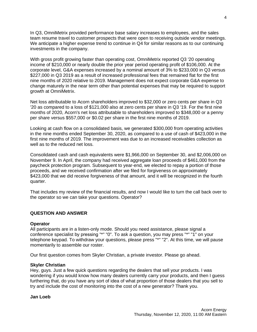In Q3, OmniMetrix provided performance base salary increases to employees, and the sales team resume travel to customer prospects that were open to receiving outside vendor meetings. We anticipate a higher expense trend to continue in Q4 for similar reasons as to our continuing investments in the company.

With gross profit growing faster than operating cost, OmniMetrix reported Q3 '20 operating income of \$210,000 or nearly double the prior year period operating profit of \$106,000. At the corporate level, G&A expenses increased by a nominal amount of 3% to \$233,000 in Q3 versus \$227,000 in Q3 2019 as a result of increased professional fees that remained flat for the first nine months of 2020 relative to 2019. Management does not expect corporate G&A expense to change maturely in the near term other than potential expenses that may be required to support growth at OmniMetrix.

Net loss attributable to Acorn shareholders improved to \$32,000 or zero cents per share in Q3 '20 as compared to a loss of \$121,000 also at zero cents per share in Q3 '19. For the first nine months of 2020, Acorn's net loss attributable to shareholders improved to \$348,000 or a penny per share versus \$557,000 or \$0.02 per share in the first nine months of 2019.

Looking at cash flow on a consolidated basis, we generated \$300,000 from operating activities in the nine months ended September 30, 2020, as compared to a use of cash of \$423,000 in the first nine months of 2019. The improvement was due to an increased receivables collection as well as to the reduced net loss.

Consolidated cash and cash equivalents were \$1,966,000 on September 30, and \$2,006,000 on November 9. In April, the company had received aggregate loan proceeds of \$461,000 from the paycheck protection program. Subsequent to year-end, we elected to repay a portion of those proceeds, and we received confirmation after we filed for forgiveness on approximately \$423,000 that we did receive forgiveness of that amount, and it will be recognized in the fourth quarter.

That includes my review of the financial results, and now I would like to turn the call back over to the operator so we can take your questions. Operator?

# **QUESTION AND ANSWER**

### **Operator**

All participants are in a listen-only mode. Should you need assistance, please signal a conference specialist by pressing "\*" "0". To ask a question, you may press "\*" "1" on your telephone keypad. To withdraw your questions, please press "\*" "2". At this time, we will pause momentarily to assemble our roster.

Our first question comes from Skyler Christian, a private investor. Please go ahead.

#### **Skyler Christian**

Hey, guys. Just a few quick questions regarding the dealers that sell your products. I was wondering if you would know how many dealers currently carry your products, and then I guess furthering that, do you have any sort of idea of what proportion of those dealers that you sell to try and include the cost of monitoring into the cost of a new generator? Thank you.

### **Jan Loeb**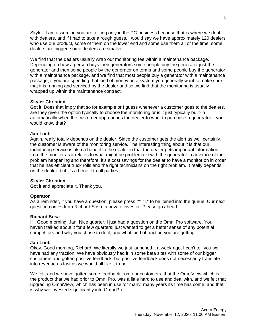Skyler, I am assuming you are talking only in the PG business because that is where we deal with dealers, and if I had to take a rough guess, I would say we have approximately 120 dealers who use our product, some of them on the lower end and some use them all of the time, some dealers are bigger, some dealers are smaller.

We find that the dealers usually wrap our monitoring fee within a maintenance package. Depending on how a person buys their generators some people buy the generator just the generator and then some people by the generator on terms and some people buy the generator with a maintenance package, and we find that most people buy a generator with a maintenance package; if you are spending that kind of money on a system you generally want to make sure that it is running and serviced by the dealer and so we find that the monitoring is usually wrapped up within the maintenance contract.

## **Skyler Christian**

Got it. Does that imply that so for example or I guess whenever a customer goes to the dealers, are they given the option typically to choose the monitoring or is it just typically built-in automatically when the customer approaches the dealer to want to purchase a generator if you would know that?

## **Jan Loeb**

Again, really totally depends on the dealer. Since the customer gets the alert as well certainly, the customer is aware of the monitoring service. The interesting thing about it is that our monitoring service is also a benefit to the dealer in that the dealer gets important information from the monitor as it relates to what might be problematic with the generator in advance of the problem happening and therefore, it's a cost savings for the dealer to have a monitor on in order that he has efficient truck rolls and the right technicians on the right problem. It really depends on the dealer, but it's a benefit to all parties.

### **Skyler Christian**

Got it and appreciate it. Thank you.

# **Operator**

As a reminder, if you have a question, please press "\*" "1" to be joined into the queue. Our next question comes from Richard Sosa, a private investor. Please go ahead.

### **Richard Sosa**

Hi. Good morning, Jan. Nice quarter. I just had a question on the Omni Pro software. You haven't talked about it for a few quarters; just wanted to get a better sense of any potential competitors and why you chose to do it, and what kind of traction you are getting.

### **Jan Loeb**

Okay. Good morning, Richard. We literally we just launched it a week ago, I can't tell you we have had any traction. We have obviously had it in some beta sites with some of our bigger customers and gotten positive feedback, but positive feedback does not necessarily translate into revenue as fast as we would all like it to be.

We felt, and we have gotten some feedback from our customers, that the OmniView which is the product that we had prior to Omni Pro, was a little hard to use and deal with, and we felt that upgrading OmniView, which has been in use for many, many years its time has come, and that is why we invested significantly into Omni Pro.